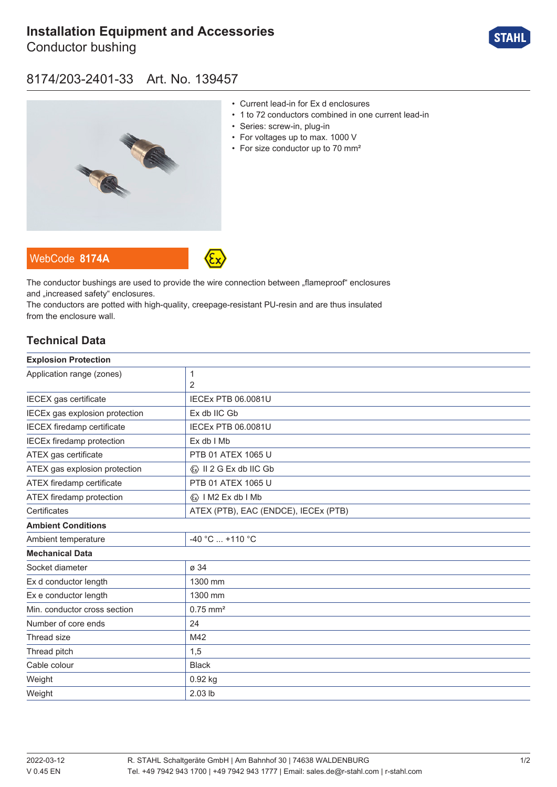# **[Installation Equipment and Accessories](https://r-stahl.com/en/global/products/materialid/139457)**

Conductor bushing



## 8174/203-2401-33 Art. No. 139457



- Current lead-in for Ex d enclosures
- 1 to 72 conductors combined in one current lead-in
- Series: screw-in, plug-in
- For voltages up to max. 1000 V
- For size conductor up to 70 mm<sup>2</sup>





The conductor bushings are used to provide the wire connection between "flameproof" enclosures and ..increased safety" enclosures.

The conductors are potted with high-quality, creepage-resistant PU-resin and are thus insulated from the enclosure wall.

### **Technical Data**

| <b>Explosion Protection</b>             |  |
|-----------------------------------------|--|
| 1                                       |  |
| 2                                       |  |
| <b>IECEx PTB 06.0081U</b>               |  |
| Ex db IIC Gb                            |  |
| <b>IECEx PTB 06.0081U</b>               |  |
| Ex db I Mb                              |  |
| PTB 01 ATEX 1065 U                      |  |
| $\langle x \rangle$ II 2 G Ex db IIC Gb |  |
| PTB 01 ATEX 1065 U                      |  |
| <b>«</b> » I M2 Ex db I Mb              |  |
| ATEX (PTB), EAC (ENDCE), IECEx (PTB)    |  |
|                                         |  |
| -40 °C  +110 °C                         |  |
|                                         |  |
| ø 34                                    |  |
| 1300 mm                                 |  |
| 1300 mm                                 |  |
| $0.75$ mm <sup>2</sup>                  |  |
| 24                                      |  |
| M42                                     |  |
| 1,5                                     |  |
| <b>Black</b>                            |  |
| $0.92$ kg                               |  |
| 2.03 lb                                 |  |
|                                         |  |